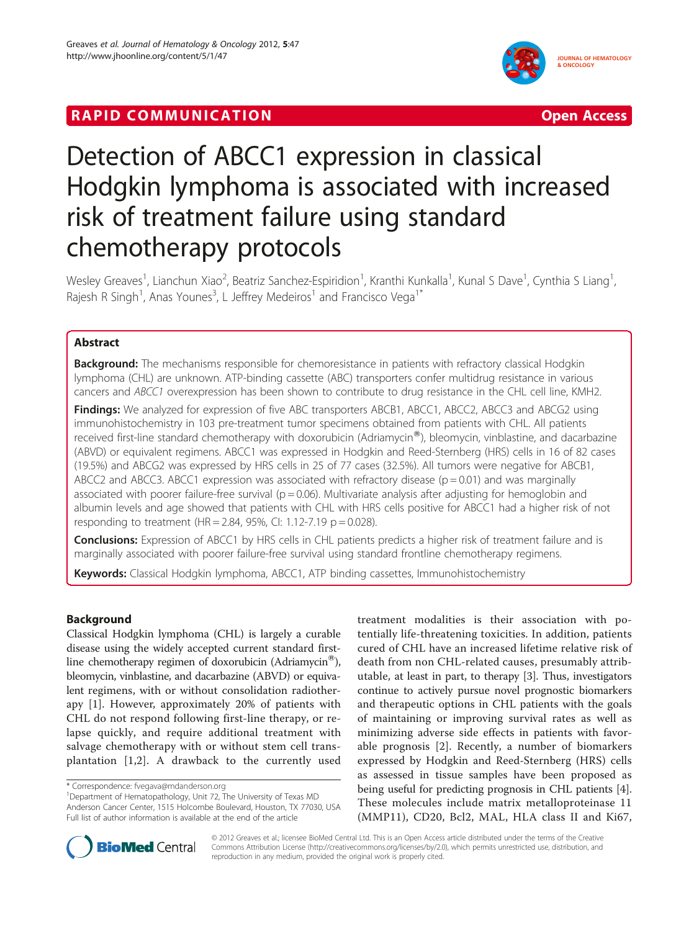## **RAPID COMMUNICATION COMMUNICATION**



# Detection of ABCC1 expression in classical Hodgkin lymphoma is associated with increased risk of treatment failure using standard chemotherapy protocols

Wesley Greaves<sup>1</sup>, Lianchun Xiao<sup>2</sup>, Beatriz Sanchez-Espiridion<sup>1</sup>, Kranthi Kunkalla<sup>1</sup>, Kunal S Dave<sup>1</sup>, Cynthia S Liang<sup>1</sup> , Rajesh R Singh<sup>1</sup>, Anas Younes<sup>3</sup>, L Jeffrey Medeiros<sup>1</sup> and Francisco Vega<sup>1\*</sup>

## Abstract

Background: The mechanisms responsible for chemoresistance in patients with refractory classical Hodgkin lymphoma (CHL) are unknown. ATP-binding cassette (ABC) transporters confer multidrug resistance in various cancers and ABCC1 overexpression has been shown to contribute to drug resistance in the CHL cell line, KMH2.

Findings: We analyzed for expression of five ABC transporters ABCB1, ABCC1, ABCC2, ABCC3 and ABCG2 using immunohistochemistry in 103 pre-treatment tumor specimens obtained from patients with CHL. All patients received first-line standard chemotherapy with doxorubicin (Adriamycin®), bleomycin, vinblastine, and dacarbazine (ABVD) or equivalent regimens. ABCC1 was expressed in Hodgkin and Reed-Sternberg (HRS) cells in 16 of 82 cases (19.5%) and ABCG2 was expressed by HRS cells in 25 of 77 cases (32.5%). All tumors were negative for ABCB1, ABCC2 and ABCC3. ABCC1 expression was associated with refractory disease ( $p = 0.01$ ) and was marginally associated with poorer failure-free survival ( $p = 0.06$ ). Multivariate analysis after adjusting for hemoglobin and albumin levels and age showed that patients with CHL with HRS cells positive for ABCC1 had a higher risk of not responding to treatment (HR = 2.84, 95%, CI: 1.12-7.19  $p = 0.028$ ).

**Conclusions:** Expression of ABCC1 by HRS cells in CHL patients predicts a higher risk of treatment failure and is marginally associated with poorer failure-free survival using standard frontline chemotherapy regimens.

Keywords: Classical Hodgkin lymphoma, ABCC1, ATP binding cassettes, Immunohistochemistry

## Background

Classical Hodgkin lymphoma (CHL) is largely a curable disease using the widely accepted current standard firstline chemotherapy regimen of doxorubicin (Adriamycin<sup>®</sup>), bleomycin, vinblastine, and dacarbazine (ABVD) or equivalent regimens, with or without consolidation radiotherapy [[1\]](#page-5-0). However, approximately 20% of patients with CHL do not respond following first-line therapy, or relapse quickly, and require additional treatment with salvage chemotherapy with or without stem cell transplantation [[1,2\]](#page-5-0). A drawback to the currently used

<sup>1</sup>Department of Hematopathology, Unit 72, The University of Texas MD Anderson Cancer Center, 1515 Holcombe Boulevard, Houston, TX 77030, USA Full list of author information is available at the end of the article

treatment modalities is their association with potentially life-threatening toxicities. In addition, patients cured of CHL have an increased lifetime relative risk of death from non CHL-related causes, presumably attributable, at least in part, to therapy [\[3\]](#page-5-0). Thus, investigators continue to actively pursue novel prognostic biomarkers and therapeutic options in CHL patients with the goals of maintaining or improving survival rates as well as minimizing adverse side effects in patients with favorable prognosis [\[2](#page-5-0)]. Recently, a number of biomarkers expressed by Hodgkin and Reed-Sternberg (HRS) cells as assessed in tissue samples have been proposed as being useful for predicting prognosis in CHL patients [[4](#page-5-0)]. These molecules include matrix metalloproteinase 11 (MMP11), CD20, Bcl2, MAL, HLA class II and Ki67,



© 2012 Greaves et al.; licensee BioMed Central Ltd. This is an Open Access article distributed under the terms of the Creative Commons Attribution License [\(http://creativecommons.org/licenses/by/2.0\)](http://creativecommons.org/licenses/by/2.0), which permits unrestricted use, distribution, and reproduction in any medium, provided the original work is properly cited.

<sup>\*</sup> Correspondence: [fvegava@mdanderson.org](mailto:fvegava@mdanderson.org) <sup>1</sup>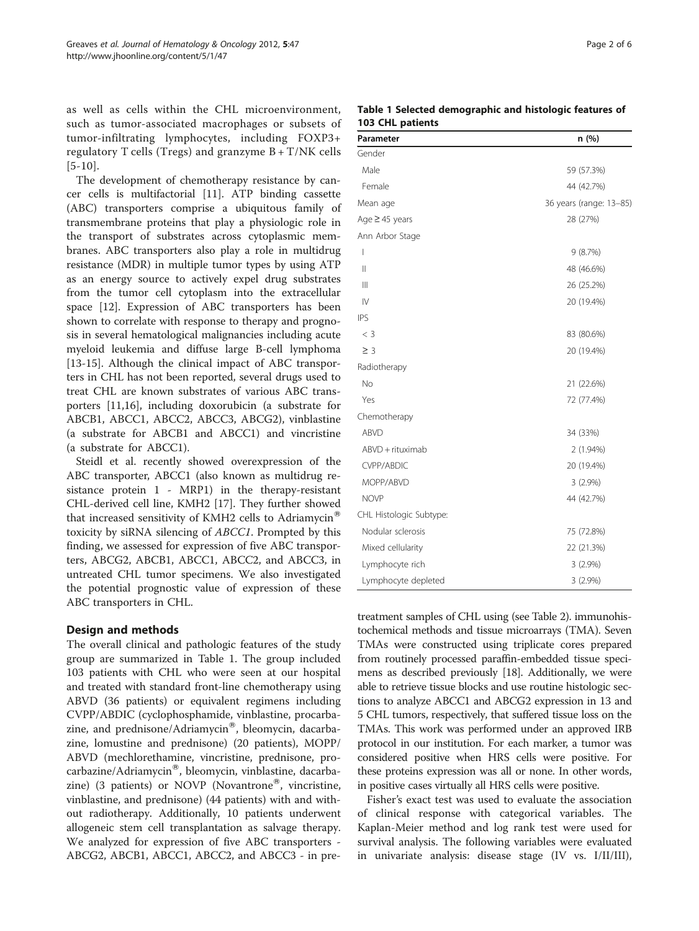as well as cells within the CHL microenvironment, such as tumor-associated macrophages or subsets of tumor-infiltrating lymphocytes, including FOXP3+ regulatory T cells (Tregs) and granzyme  $B + T/NK$  cells  $[5-10]$  $[5-10]$  $[5-10]$  $[5-10]$  $[5-10]$ .

The development of chemotherapy resistance by cancer cells is multifactorial [[11\]](#page-5-0). ATP binding cassette (ABC) transporters comprise a ubiquitous family of transmembrane proteins that play a physiologic role in the transport of substrates across cytoplasmic membranes. ABC transporters also play a role in multidrug resistance (MDR) in multiple tumor types by using ATP as an energy source to actively expel drug substrates from the tumor cell cytoplasm into the extracellular space [[12](#page-5-0)]. Expression of ABC transporters has been shown to correlate with response to therapy and prognosis in several hematological malignancies including acute myeloid leukemia and diffuse large B-cell lymphoma [[13-15](#page-5-0)]. Although the clinical impact of ABC transporters in CHL has not been reported, several drugs used to treat CHL are known substrates of various ABC transporters [\[11,16\]](#page-5-0), including doxorubicin (a substrate for ABCB1, ABCC1, ABCC2, ABCC3, ABCG2), vinblastine (a substrate for ABCB1 and ABCC1) and vincristine (a substrate for ABCC1).

Steidl et al. recently showed overexpression of the ABC transporter, ABCC1 (also known as multidrug resistance protein 1 - MRP1) in the therapy-resistant CHL-derived cell line, KMH2 [[17](#page-5-0)]. They further showed that increased sensitivity of KMH2 cells to Adriamycin<sup>®</sup> toxicity by siRNA silencing of ABCC1. Prompted by this finding, we assessed for expression of five ABC transporters, ABCG2, ABCB1, ABCC1, ABCC2, and ABCC3, in untreated CHL tumor specimens. We also investigated the potential prognostic value of expression of these ABC transporters in CHL.

## Design and methods

The overall clinical and pathologic features of the study group are summarized in Table 1. The group included 103 patients with CHL who were seen at our hospital and treated with standard front-line chemotherapy using ABVD (36 patients) or equivalent regimens including CVPP/ABDIC (cyclophosphamide, vinblastine, procarbazine, and prednisone/Adriamycin®, bleomycin, dacarbazine, lomustine and prednisone) (20 patients), MOPP/ ABVD (mechlorethamine, vincristine, prednisone, procarbazine/Adriamycin®, bleomycin, vinblastine, dacarbazine) (3 patients) or NOVP (Novantrone®, vincristine, vinblastine, and prednisone) (44 patients) with and without radiotherapy. Additionally, 10 patients underwent allogeneic stem cell transplantation as salvage therapy. We analyzed for expression of five ABC transporters - ABCG2, ABCB1, ABCC1, ABCC2, and ABCC3 - in pre-

|                  | Table 1 Selected demographic and histologic features of |  |  |
|------------------|---------------------------------------------------------|--|--|
| 103 CHL patients |                                                         |  |  |

| Parameter                     | n (%)                   |
|-------------------------------|-------------------------|
| Gender                        |                         |
| Male                          | 59 (57.3%)              |
| Female                        | 44 (42.7%)              |
| Mean age                      | 36 years (range: 13-85) |
| Age ≥ 45 years                | 28 (27%)                |
| Ann Arbor Stage               |                         |
| $\overline{1}$                | 9(8.7%)                 |
| Ш                             | 48 (46.6%)              |
| $\parallel$                   | 26 (25.2%)              |
| $\mathsf{IV}$                 | 20 (19.4%)              |
| <b>IPS</b>                    |                         |
| $<$ 3                         | 83 (80.6%)              |
| $\geq$ 3                      | 20 (19.4%)              |
| Radiotherapy                  |                         |
| <b>No</b>                     | 21 (22.6%)              |
| Yes                           | 72 (77.4%)              |
| Chemotherapy                  |                         |
| ABVD                          | 34 (33%)                |
| ABVD + rituximab              | 2 (1.94%)               |
| <b>CVPP/ABDIC</b>             | 20 (19.4%)              |
| MOPP/ABVD                     | $3(2.9\%)$              |
| <b>NOVP</b>                   | 44 (42.7%)              |
| CHL Histologic Subtype:       |                         |
| Nodular sclerosis             | 75 (72.8%)              |
| Mixed cellularity             | 22 (21.3%)              |
| Lymphocyte rich<br>$3(2.9\%)$ |                         |
| Lymphocyte depleted           | $3(2.9\%)$              |

treatment samples of CHL using (see Table [2](#page-2-0)). immunohistochemical methods and tissue microarrays (TMA). Seven TMAs were constructed using triplicate cores prepared from routinely processed paraffin-embedded tissue specimens as described previously [\[18\]](#page-5-0). Additionally, we were able to retrieve tissue blocks and use routine histologic sections to analyze ABCC1 and ABCG2 expression in 13 and 5 CHL tumors, respectively, that suffered tissue loss on the TMAs. This work was performed under an approved IRB protocol in our institution. For each marker, a tumor was considered positive when HRS cells were positive. For these proteins expression was all or none. In other words, in positive cases virtually all HRS cells were positive.

Fisher's exact test was used to evaluate the association of clinical response with categorical variables. The Kaplan-Meier method and log rank test were used for survival analysis. The following variables were evaluated in univariate analysis: disease stage (IV vs. I/II/III),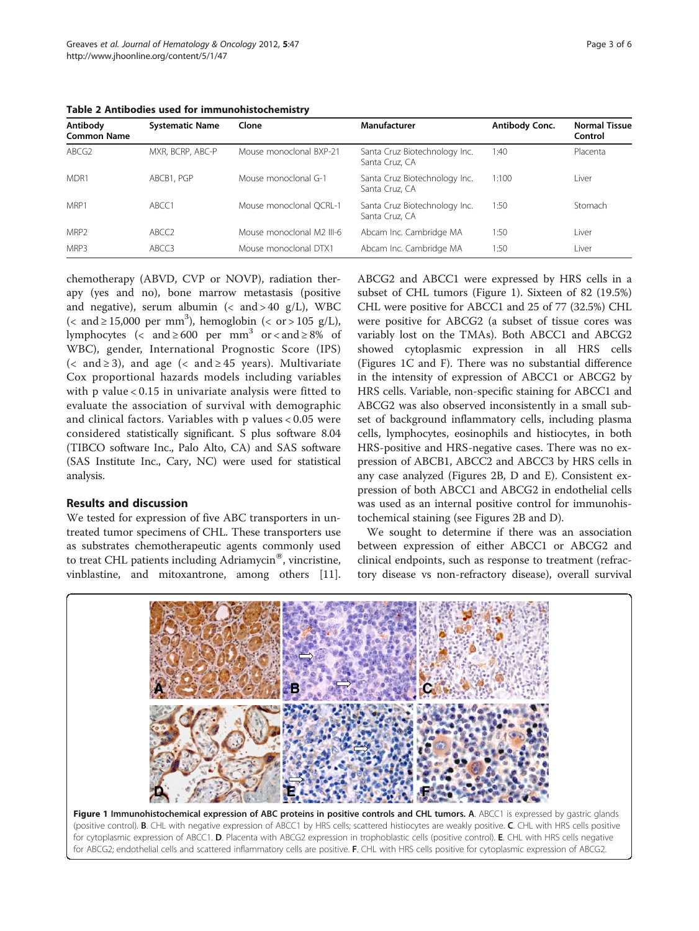| Antibody<br><b>Common Name</b> | <b>Systematic Name</b> | Clone                     | Manufacturer                                    | Antibody Conc. | <b>Normal Tissue</b><br>Control |
|--------------------------------|------------------------|---------------------------|-------------------------------------------------|----------------|---------------------------------|
| ABCG <sub>2</sub>              | MXR, BCRP, ABC-P       | Mouse monoclonal BXP-21   | Santa Cruz Biotechnology Inc.<br>Santa Cruz, CA | 1:40           | Placenta                        |
| MDR1                           | ABCB1, PGP             | Mouse monoclonal G-1      | Santa Cruz Biotechnology Inc.<br>Santa Cruz, CA | 1:100          | Liver                           |
| MRP1                           | ABCC1                  | Mouse monoclonal QCRL-1   | Santa Cruz Biotechnology Inc.<br>Santa Cruz, CA | 1:50           | Stomach                         |
| MRP <sub>2</sub>               | ABCC <sub>2</sub>      | Mouse monoclonal M2 III-6 | Abcam Inc. Cambridge MA                         | 1:50           | Liver                           |
| MRP3                           | ABCC3                  | Mouse monoclonal DTX1     | Abcam Inc. Cambridge MA                         | 1:50           | Liver                           |

<span id="page-2-0"></span>Table 2 Antibodies used for immunohistochemistry

chemotherapy (ABVD, CVP or NOVP), radiation therapy (yes and no), bone marrow metastasis (positive and negative), serum albumin  $\langle \langle$  and  $\rangle$  40 g/L), WBC  $\left($  < and  $\geq$  15,000 per mm<sup>3</sup>), hemoglobin  $\left($  < or  $>$  105 g/L), lymphocytes (< and  $\geq 600$  per mm<sup>3</sup> or < and  $\geq 8\%$  of WBC), gender, International Prognostic Score (IPS) (< and  $\ge$  3), and age (< and  $\ge$  45 years). Multivariate Cox proportional hazards models including variables with p value < 0.15 in univariate analysis were fitted to evaluate the association of survival with demographic and clinical factors. Variables with p values < 0.05 were considered statistically significant. S plus software 8.04 (TIBCO software Inc., Palo Alto, CA) and SAS software (SAS Institute Inc., Cary, NC) were used for statistical analysis.

## Results and discussion

We tested for expression of five ABC transporters in untreated tumor specimens of CHL. These transporters use as substrates chemotherapeutic agents commonly used to treat CHL patients including  $Adriamycin^{\circledR}$ , vincristine, vinblastine, and mitoxantrone, among others [\[11](#page-5-0)].

ABCG2 and ABCC1 were expressed by HRS cells in a subset of CHL tumors (Figure 1). Sixteen of 82 (19.5%) CHL were positive for ABCC1 and 25 of 77 (32.5%) CHL were positive for ABCG2 (a subset of tissue cores was variably lost on the TMAs). Both ABCC1 and ABCG2 showed cytoplasmic expression in all HRS cells (Figures 1C and F). There was no substantial difference in the intensity of expression of ABCC1 or ABCG2 by HRS cells. Variable, non-specific staining for ABCC1 and ABCG2 was also observed inconsistently in a small subset of background inflammatory cells, including plasma cells, lymphocytes, eosinophils and histiocytes, in both HRS-positive and HRS-negative cases. There was no expression of ABCB1, ABCC2 and ABCC3 by HRS cells in any case analyzed (Figures [2B, D and E\)](#page-3-0). Consistent expression of both ABCC1 and ABCG2 in endothelial cells was used as an internal positive control for immunohistochemical staining (see Figures [2B and D](#page-3-0)).

We sought to determine if there was an association between expression of either ABCC1 or ABCG2 and clinical endpoints, such as response to treatment (refractory disease vs non-refractory disease), overall survival

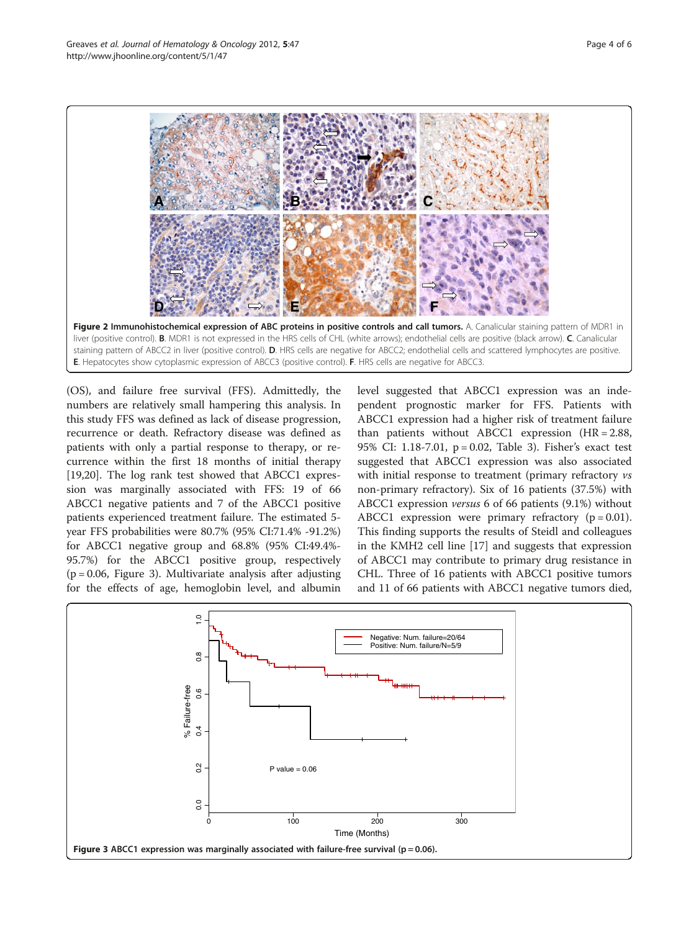<span id="page-3-0"></span>

(OS), and failure free survival (FFS). Admittedly, the numbers are relatively small hampering this analysis. In this study FFS was defined as lack of disease progression, recurrence or death. Refractory disease was defined as patients with only a partial response to therapy, or recurrence within the first 18 months of initial therapy [[19,20\]](#page-5-0). The log rank test showed that ABCC1 expression was marginally associated with FFS: 19 of 66 ABCC1 negative patients and 7 of the ABCC1 positive patients experienced treatment failure. The estimated 5 year FFS probabilities were 80.7% (95% CI:71.4% -91.2%) for ABCC1 negative group and 68.8% (95% CI:49.4%- 95.7%) for the ABCC1 positive group, respectively  $(p = 0.06,$  Figure 3). Multivariate analysis after adjusting for the effects of age, hemoglobin level, and albumin level suggested that ABCC1 expression was an independent prognostic marker for FFS. Patients with ABCC1 expression had a higher risk of treatment failure than patients without ABCC1 expression (HR = 2.88, 95% CI: 1.18-7.01, p = 0.02, Table [3](#page-4-0)). Fisher's exact test suggested that ABCC1 expression was also associated with initial response to treatment (primary refractory vs non-primary refractory). Six of 16 patients (37.5%) with ABCC1 expression versus 6 of 66 patients (9.1%) without ABCC1 expression were primary refractory  $(p = 0.01)$ . This finding supports the results of Steidl and colleagues in the KMH2 cell line [\[17](#page-5-0)] and suggests that expression of ABCC1 may contribute to primary drug resistance in CHL. Three of 16 patients with ABCC1 positive tumors and 11 of 66 patients with ABCC1 negative tumors died,

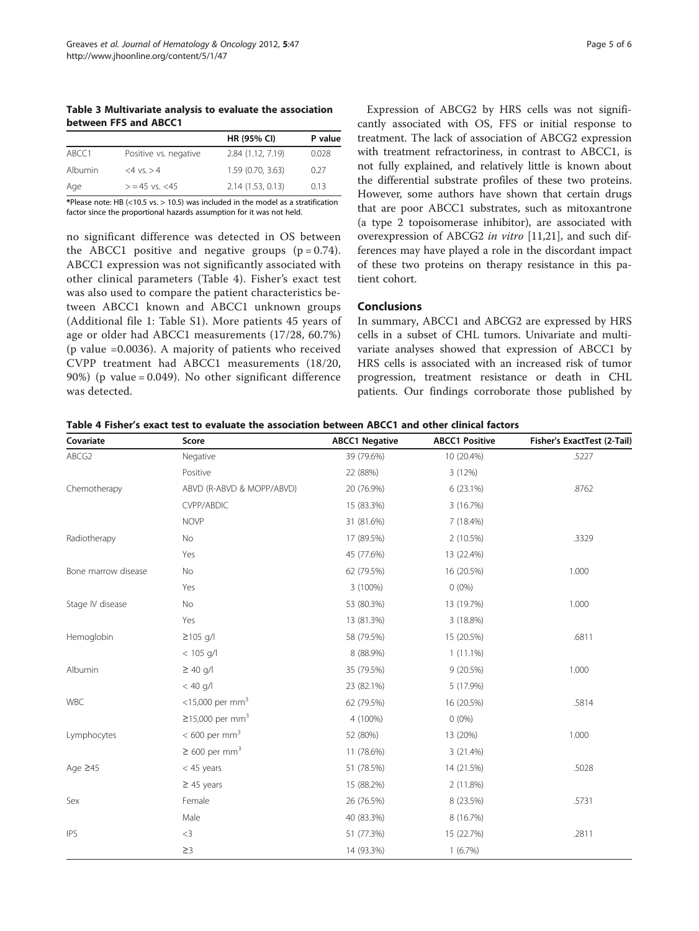<span id="page-4-0"></span>Table 3 Multivariate analysis to evaluate the association between FFS and ABCC1

|         |                       | <b>HR (95% CI)</b> | P value |
|---------|-----------------------|--------------------|---------|
| ABCC1   | Positive vs. negative | 2.84 (1.12, 7.19)  | 0.028   |
| Albumin | $<4$ vs. $>4$         | 1.59 (0.70, 3.63)  | 0.27    |
| Age     | $>$ = 45 vs. $<$ 45   | 2.14(1.53, 0.13)   | 0.13    |

\*Please note: HB (<10.5 vs. > 10.5) was included in the model as a stratification factor since the proportional hazards assumption for it was not held.

no significant difference was detected in OS between the ABCC1 positive and negative groups  $(p = 0.74)$ . ABCC1 expression was not significantly associated with other clinical parameters (Table 4). Fisher's exact test was also used to compare the patient characteristics between ABCC1 known and ABCC1 unknown groups (Additional file 1: [Table S1\)](#page-5-0). More patients 45 years of age or older had ABCC1 measurements (17/28, 60.7%) (p value =0.0036). A majority of patients who received CVPP treatment had ABCC1 measurements (18/20, 90%) (p value = 0.049). No other significant difference was detected.

Expression of ABCG2 by HRS cells was not significantly associated with OS, FFS or initial response to treatment. The lack of association of ABCG2 expression with treatment refractoriness, in contrast to ABCC1, is not fully explained, and relatively little is known about the differential substrate profiles of these two proteins. However, some authors have shown that certain drugs that are poor ABCC1 substrates, such as mitoxantrone (a type 2 topoisomerase inhibitor), are associated with overexpression of ABCG2 in vitro [[11,21\]](#page-5-0), and such differences may have played a role in the discordant impact of these two proteins on therapy resistance in this patient cohort.

### Conclusions

In summary, ABCC1 and ABCG2 are expressed by HRS cells in a subset of CHL tumors. Univariate and multivariate analyses showed that expression of ABCC1 by HRS cells is associated with an increased risk of tumor progression, treatment resistance or death in CHL patients. Our findings corroborate those published by

|  | Table 4 Fisher's exact test to evaluate the association between ABCC1 and other clinical factors |
|--|--------------------------------------------------------------------------------------------------|
|--|--------------------------------------------------------------------------------------------------|

| Covariate           | Score                          | <b>ABCC1 Negative</b> | <b>ABCC1 Positive</b> | Fisher's ExactTest (2-Tail) |
|---------------------|--------------------------------|-----------------------|-----------------------|-----------------------------|
| ABCG2               | Negative                       | 39 (79.6%)            | 10 (20.4%)            | .5227                       |
|                     | Positive                       | 22 (88%)              | 3 (12%)               |                             |
| Chemotherapy        | ABVD (R-ABVD & MOPP/ABVD)      | 20 (76.9%)            | $6(23.1\%)$           | .8762                       |
|                     | <b>CVPP/ABDIC</b>              | 15 (83.3%)            | 3 (16.7%)             |                             |
|                     | <b>NOVP</b>                    | 31 (81.6%)            | 7(18.4%)              |                             |
| Radiotherapy        | No                             | 17 (89.5%)            | 2(10.5%)              | .3329                       |
|                     | Yes                            | 45 (77.6%)            | 13 (22.4%)            |                             |
| Bone marrow disease | No                             | 62 (79.5%)            | 16 (20.5%)            | 1.000                       |
|                     | Yes                            | 3 (100%)              | $0(0\%)$              |                             |
| Stage IV disease    | No                             | 53 (80.3%)            | 13 (19.7%)            | 1.000                       |
|                     | Yes                            | 13 (81.3%)            | 3 (18.8%)             |                             |
| Hemoglobin          | $≥105$ g/l                     | 58 (79.5%)            | 15 (20.5%)            | .6811                       |
|                     | $< 105$ g/l                    | 8 (88.9%)             | $1(11.1\%)$           |                             |
| Albumin             | $\geq 40$ g/l                  | 35 (79.5%)            | 9(20.5%)              | 1.000                       |
|                     | $< 40$ g/l                     | 23 (82.1%)            | 5 (17.9%)             |                             |
| WBC                 | <15,000 per mm <sup>3</sup>    | 62 (79.5%)            | 16 (20.5%)            | .5814                       |
|                     | $≥15,000$ per mm <sup>3</sup>  | 4 (100%)              | $0(0\%)$              |                             |
| Lymphocytes         | $< 600$ per mm <sup>3</sup>    | 52 (80%)              | 13 (20%)              | 1.000                       |
|                     | $\geq 600$ per mm <sup>3</sup> | 11 (78.6%)            | 3(21.4%)              |                             |
| Age $\geq 45$       | $<$ 45 years                   | 51 (78.5%)            | 14 (21.5%)            | .5028                       |
|                     | $\geq$ 45 years                | 15 (88.2%)            | 2(11.8%)              |                             |
| Sex                 | Female                         | 26 (76.5%)            | 8 (23.5%)             | .5731                       |
|                     | Male                           | 40 (83.3%)            | 8 (16.7%)             |                             |
| <b>IPS</b>          | $<$ 3                          | 51 (77.3%)            | 15 (22.7%)            | .2811                       |
|                     | $\geq$ 3                       | 14 (93.3%)            | 1(6.7%)               |                             |